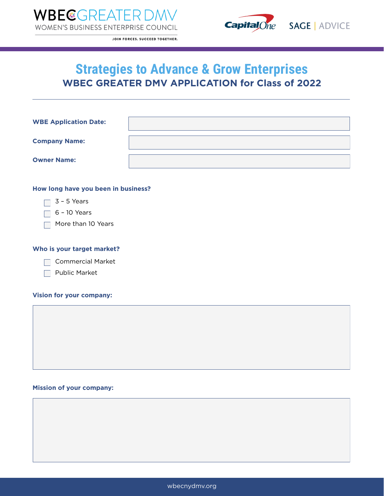



JOIN FORCES. SUCCEED TOGETHER.

# **Strategies to Advance & Grow Enterprises WBEC GREATER DMV APPLICATION for Class of 2022**

| <b>WBE Application Date:</b> |  |
|------------------------------|--|
| <b>Company Name:</b>         |  |
| <b>Owner Name:</b>           |  |

### **How long have you been in business?**

 $\Box$  3 - 5 Years

 $\Box$  6 - 10 Years

More than 10 Years

### **Who is your target market?**

Commercial Market

 $\Box$  Public Market

#### **Vision for your company:**

#### **Mission of your company:**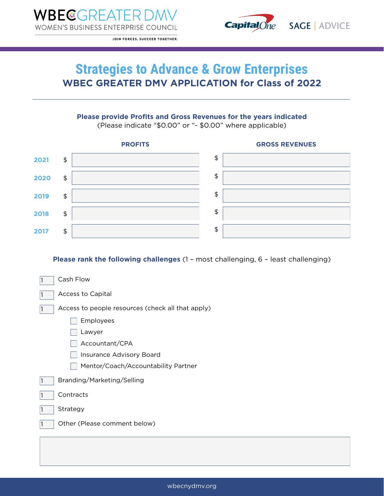

JOIN FORCES. SUCCEED TOGETHER.

# **Strategies to Advance & Grow Enterprises WBEC GREATER DMV APPLICATION for Class of 2022**

## **Please provide Profits and Gross Revenues for the years indicated**

(Please indicate "\$0.00" or "- \$0.00" where applicable)



**Please rank the following challenges** (1 – most challenging, 6 – least challenging)

| Cash Flow<br>1                                         |  |  |
|--------------------------------------------------------|--|--|
| <b>Access to Capital</b><br>1                          |  |  |
| Access to people resources (check all that apply)<br>1 |  |  |
| Employees                                              |  |  |
| Lawyer                                                 |  |  |
| Accountant/CPA                                         |  |  |
| Insurance Advisory Board                               |  |  |
| Mentor/Coach/Accountability Partner                    |  |  |
| Branding/Marketing/Selling<br>1                        |  |  |
| Contracts<br>1                                         |  |  |
| Strategy<br>1                                          |  |  |
| Other (Please comment below)<br>1                      |  |  |
|                                                        |  |  |